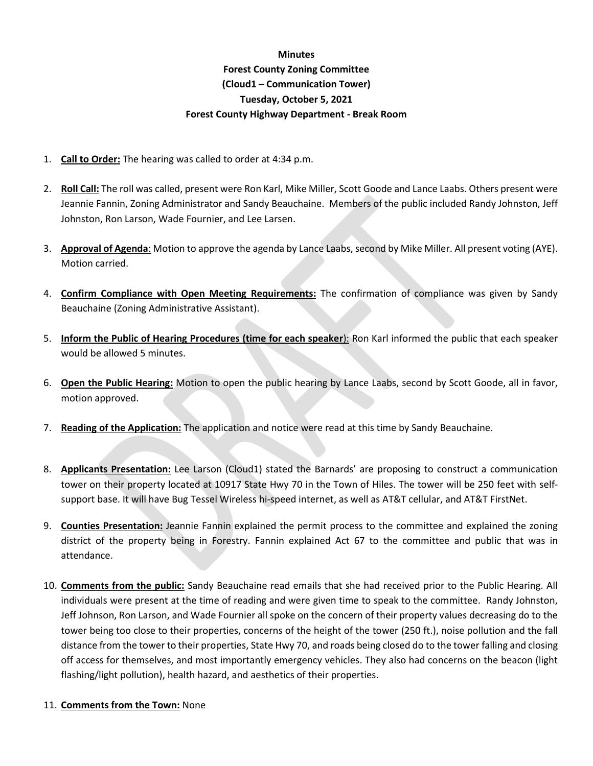## **Minutes Forest County Zoning Committee (Cloud1 – Communication Tower) Tuesday, October 5, 2021 Forest County Highway Department - Break Room**

- 1. **Call to Order:** The hearing was called to order at 4:34 p.m.
- 2. **Roll Call:** The roll was called, present were Ron Karl, Mike Miller, Scott Goode and Lance Laabs. Others present were Jeannie Fannin, Zoning Administrator and Sandy Beauchaine. Members of the public included Randy Johnston, Jeff Johnston, Ron Larson, Wade Fournier, and Lee Larsen.
- 3. **Approval of Agenda**: Motion to approve the agenda by Lance Laabs, second by Mike Miller. All present voting (AYE). Motion carried.
- 4. **Confirm Compliance with Open Meeting Requirements:** The confirmation of compliance was given by Sandy Beauchaine (Zoning Administrative Assistant).
- 5. **Inform the Public of Hearing Procedures (time for each speaker**): Ron Karl informed the public that each speaker would be allowed 5 minutes.
- 6. **Open the Public Hearing:** Motion to open the public hearing by Lance Laabs, second by Scott Goode, all in favor, motion approved.
- 7. **Reading of the Application:** The application and notice were read at this time by Sandy Beauchaine.
- 8. **Applicants Presentation:** Lee Larson (Cloud1) stated the Barnards' are proposing to construct a communication tower on their property located at 10917 State Hwy 70 in the Town of Hiles. The tower will be 250 feet with selfsupport base. It will have Bug Tessel Wireless hi-speed internet, as well as AT&T cellular, and AT&T FirstNet.
- 9. **Counties Presentation:** Jeannie Fannin explained the permit process to the committee and explained the zoning district of the property being in Forestry. Fannin explained Act 67 to the committee and public that was in attendance.
- 10. **Comments from the public:** Sandy Beauchaine read emails that she had received prior to the Public Hearing. All individuals were present at the time of reading and were given time to speak to the committee. Randy Johnston, Jeff Johnson, Ron Larson, and Wade Fournier all spoke on the concern of their property values decreasing do to the tower being too close to their properties, concerns of the height of the tower (250 ft.), noise pollution and the fall distance from the tower to their properties, State Hwy 70, and roads being closed do to the tower falling and closing off access for themselves, and most importantly emergency vehicles. They also had concerns on the beacon (light flashing/light pollution), health hazard, and aesthetics of their properties.
- 11. **Comments from the Town:** None